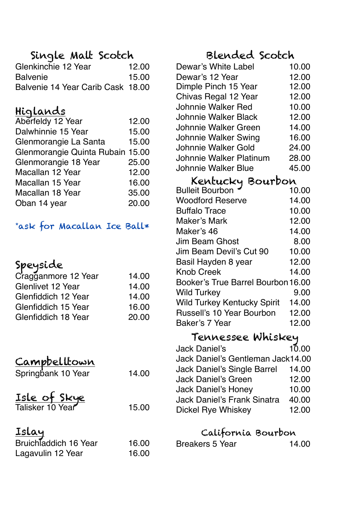## Single Malt Scotch

| Glenkinchie 12 Year               | 12.00 |
|-----------------------------------|-------|
| <b>Balvenie</b>                   | 15.00 |
| Balvenie 14 Year Carib Cask 18.00 |       |

### Higlands

| Aberfeldy 12 Year                | 12.00 |
|----------------------------------|-------|
| Dalwhinnie 15 Year               | 15.00 |
| Glenmorangie La Santa            | 15.00 |
| Glenmorangie Quinta Rubain 15.00 |       |
| Glenmorangie 18 Year             | 25.00 |
| Macallan 12 Year                 | 12.00 |
| Macallan 15 Year                 | 16.00 |
| Macallan 18 Year                 | 35.00 |
| Oban 14 year                     | 20.00 |

#### \*ask for Macallan Ice Ball\*

## Speyside

| Cragganmore 12 Year | 14.00 |
|---------------------|-------|
| Glenlivet 12 Year   | 14.00 |
| Glenfiddich 12 Year | 14.00 |
| Glenfiddich 15 Year | 16.00 |
| Glenfiddich 18 Year | 20.00 |
|                     |       |

## Campbelltown

| Springbank 10 Year | 14.00 |
|--------------------|-------|
|                    |       |

|                  | Isle of Skye |       |
|------------------|--------------|-------|
| Talisker 10 Year |              | 15.00 |

#### Islay

| Bruichladdich 16 Year | 16.00 |
|-----------------------|-------|
| Lagavulin 12 Year     | 16.00 |

# Blended Scotch

| Dewar's White Label     | 10.00 |  |
|-------------------------|-------|--|
| Dewar's 12 Year         | 12.00 |  |
| Dimple Pinch 15 Year    | 12.00 |  |
| Chivas Regal 12 Year    | 12.00 |  |
| Johnnie Walker Red      | 10.00 |  |
| Johnnie Walker Black    | 12.00 |  |
| Johnnie Walker Green    | 14.00 |  |
| Johnnie Walker Swing    | 16.00 |  |
| Johnnie Walker Gold     | 24.00 |  |
| Johnnie Walker Platinum | 28.00 |  |
| Johnnie Walker Blue     | 45.00 |  |
| Kentucky Bourbon        |       |  |

| Bourbon<br>Kentucky                |       |
|------------------------------------|-------|
| <b>Bulleit Bourbon</b>             | 10.00 |
| <b>Woodford Reserve</b>            | 14.00 |
| <b>Buffalo Trace</b>               | 10.00 |
| Maker's Mark                       | 12.00 |
| Maker's 46                         | 14.00 |
| Jim Beam Ghost                     | 8.00  |
| Jim Beam Devil's Cut 90            | 10.00 |
| Basil Hayden 8 year                | 12.00 |
| <b>Knob Creek</b>                  | 14.00 |
| Booker's True Barrel Bourbon 16.00 |       |
| <b>Wild Turkey</b>                 | 9.00  |
| <b>Wild Turkey Kentucky Spirit</b> | 14.00 |
| Russell's 10 Year Bourbon          | 12.00 |
| Baker's 7 Year                     | 12.00 |

#### Tennessee Whiskey

| Jack Daniel's                     | 10.00 |
|-----------------------------------|-------|
| Jack Daniel's Gentleman Jack14.00 |       |
| Jack Daniel's Single Barrel       | 14.00 |
| Jack Daniel's Green               | 12.00 |
| Jack Daniel's Honey               | 10.00 |
| Jack Daniel's Frank Sinatra       | 40.00 |
| Dickel Rye Whiskey                | 12.00 |
|                                   |       |

#### California Bourbon

| Breakers 5 Year | 14.00 |
|-----------------|-------|
|                 |       |